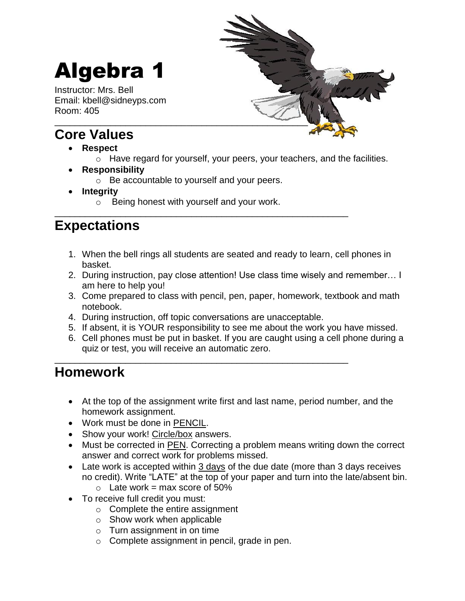# Algebra 1

Instructor: Mrs. Bell Email: kbell@sidneyps.com Room: 405

# **Core Values**

- **Respect**
	- o Have regard for yourself, your peers, your teachers, and the facilities.
- **Responsibility**
	- o Be accountable to yourself and your peers.
- **Integrity**
	- o Being honest with yourself and your work.

#### \_\_\_\_\_\_\_\_\_\_\_\_\_\_\_\_\_\_\_\_\_\_\_\_\_\_\_\_\_\_\_\_\_\_\_\_\_\_\_\_\_\_\_\_\_\_\_\_\_\_\_\_\_\_\_\_\_\_ **Expectations**

- 1. When the bell rings all students are seated and ready to learn, cell phones in basket.
- 2. During instruction, pay close attention! Use class time wisely and remember… I am here to help you!
- 3. Come prepared to class with pencil, pen, paper, homework, textbook and math notebook.
- 4. During instruction, off topic conversations are unacceptable.
- 5. If absent, it is YOUR responsibility to see me about the work you have missed.
- 6. Cell phones must be put in basket. If you are caught using a cell phone during a quiz or test, you will receive an automatic zero.

#### \_\_\_\_\_\_\_\_\_\_\_\_\_\_\_\_\_\_\_\_\_\_\_\_\_\_\_\_\_\_\_\_\_\_\_\_\_\_\_\_\_\_\_\_\_\_\_\_\_\_\_\_\_\_\_\_\_\_ **Homework**

- At the top of the assignment write first and last name, period number, and the homework assignment.
- Work must be done in PENCIL.
- Show your work! Circle/box answers.
- Must be corrected in **PEN**. Correcting a problem means writing down the correct answer and correct work for problems missed.
- Late work is accepted within 3 days of the due date (more than 3 days receives no credit). Write "LATE" at the top of your paper and turn into the late/absent bin.  $\circ$  Late work = max score of 50%
- To receive full credit you must:
	- o Complete the entire assignment
	- o Show work when applicable
	- o Turn assignment in on time
	- o Complete assignment in pencil, grade in pen.